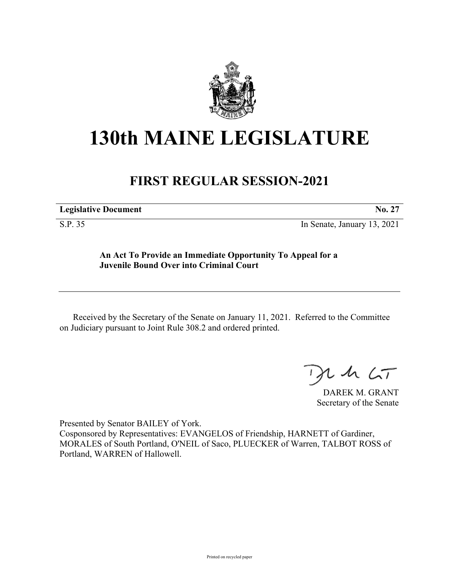

## **130th MAINE LEGISLATURE**

## **FIRST REGULAR SESSION-2021**

| <b>Legislative Document</b> | <b>No.</b> |
|-----------------------------|------------|

S.P. 35 In Senate, January 13, 2021

## **An Act To Provide an Immediate Opportunity To Appeal for a Juvenile Bound Over into Criminal Court**

Received by the Secretary of the Senate on January 11, 2021. Referred to the Committee on Judiciary pursuant to Joint Rule 308.2 and ordered printed.

 $125$ 

DAREK M. GRANT Secretary of the Senate

Presented by Senator BAILEY of York.

Cosponsored by Representatives: EVANGELOS of Friendship, HARNETT of Gardiner, MORALES of South Portland, O'NEIL of Saco, PLUECKER of Warren, TALBOT ROSS of Portland, WARREN of Hallowell.